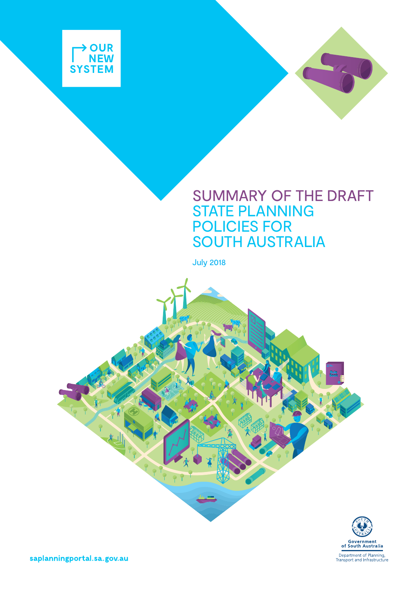

## SUMMARY OF THE DRAFT STATE PLANNING POLICIES FOR SOUTH AUSTRALIA

July 2018





saplanningportal.sa.gov.au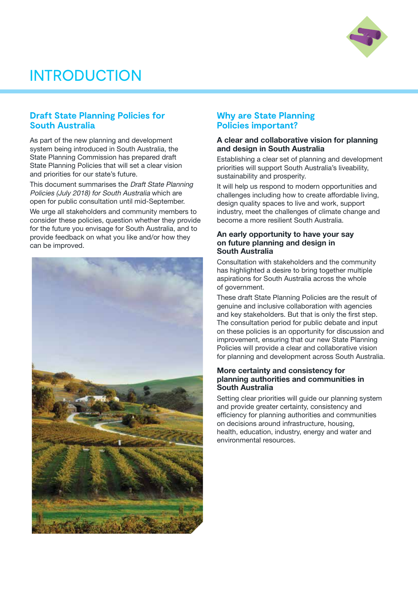

# INTRODUCTION

### **Draft State Planning Policies for South Australia**

As part of the new planning and development system being introduced in South Australia, the State Planning Commission has prepared draft State Planning Policies that will set a clear vision and priorities for our state's future.

This document summarises the *Draft State Planning* Policies (July 2018) for South Australia which are open for public consultation until mid-September.

We urge all stakeholders and community members to consider these policies, question whether they provide for the future you envisage for South Australia, and to provide feedback on what you like and/or how they can be improved.



### **Why are State Planning Policies important?**

#### A clear and collaborative vision for planning and design in South Australia

Establishing a clear set of planning and development priorities will support South Australia's liveability, sustainability and prosperity.

It will help us respond to modern opportunities and challenges including how to create affordable living, design quality spaces to live and work, support industry, meet the challenges of climate change and become a more resilient South Australia.

#### An early opportunity to have your say on future planning and design in South Australia

Consultation with stakeholders and the community has highlighted a desire to bring together multiple aspirations for South Australia across the whole of government.

These draft State Planning Policies are the result of genuine and inclusive collaboration with agencies and key stakeholders. But that is only the first step. The consultation period for public debate and input on these policies is an opportunity for discussion and improvement, ensuring that our new State Planning Policies will provide a clear and collaborative vision for planning and development across South Australia.

#### More certainty and consistency for planning authorities and communities in South Australia

Setting clear priorities will guide our planning system and provide greater certainty, consistency and efficiency for planning authorities and communities on decisions around infrastructure, housing, health, education, industry, energy and water and environmental resources.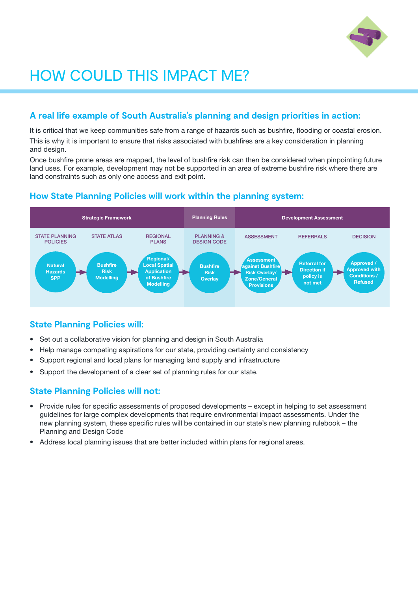

# HOW COULD THIS IMPACT ME?

## **A real life example of South Australia's planning and design priorities in action:**

It is critical that we keep communities safe from a range of hazards such as bushfire, flooding or coastal erosion.

This is why it is important to ensure that risks associated with bushfires are a key consideration in planning and design.

Once bushfire prone areas are mapped, the level of bushfire risk can then be considered when pinpointing future land uses. For example, development may not be supported in an area of extreme bushfire risk where there are land constraints such as only one access and exit point.

## **How State Planning Policies will work within the planning system:**



## **State Planning Policies will:**

- Set out a collaborative vision for planning and design in South Australia
- Help manage competing aspirations for our state, providing certainty and consistency
- Support regional and local plans for managing land supply and infrastructure
- Support the development of a clear set of planning rules for our state.

## **State Planning Policies will not:**

- Provide rules for specific assessments of proposed developments except in helping to set assessment guidelines for large complex developments that require environmental impact assessments. Under the new planning system, these specific rules will be contained in our state's new planning rulebook – the Planning and Design Code
- Address local planning issues that are better included within plans for regional areas.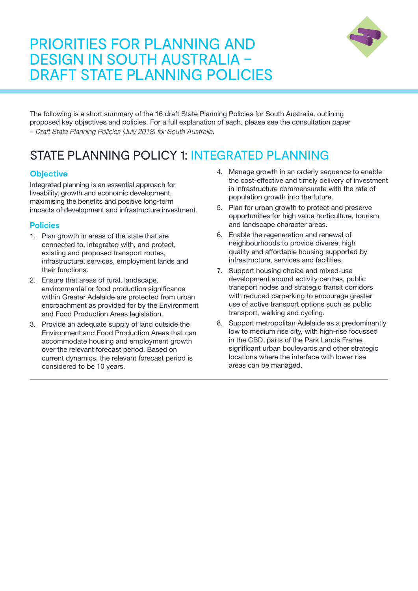## PRIORITIES FOR PLANNING AND DESIGN IN SOUTH AUSTRALIA – DRAFT STATE PLANNING POLICIES



The following is a short summary of the 16 draft State Planning Policies for South Australia, outlining proposed key objectives and policies. For a full explanation of each, please see the consultation paper – Draft State Planning Policies (July 2018) for South Australia.

## STATE PLANNING POLICY 1: INTEGRATED PLANNING

## **Objective**

Integrated planning is an essential approach for liveability, growth and economic development, maximising the benefits and positive long-term impacts of development and infrastructure investment.

- 1. Plan growth in areas of the state that are connected to, integrated with, and protect, existing and proposed transport routes, infrastructure, services, employment lands and their functions.
- 2. Ensure that areas of rural, landscape, environmental or food production significance within Greater Adelaide are protected from urban encroachment as provided for by the Environment and Food Production Areas legislation.
- 3. Provide an adequate supply of land outside the Environment and Food Production Areas that can accommodate housing and employment growth over the relevant forecast period. Based on current dynamics, the relevant forecast period is considered to be 10 years.
- 4. Manage growth in an orderly sequence to enable the cost-effective and timely delivery of investment in infrastructure commensurate with the rate of population growth into the future.
- 5. Plan for urban growth to protect and preserve opportunities for high value horticulture, tourism and landscape character areas.
- 6. Enable the regeneration and renewal of neighbourhoods to provide diverse, high quality and affordable housing supported by infrastructure, services and facilities.
- 7. Support housing choice and mixed-use development around activity centres, public transport nodes and strategic transit corridors with reduced carparking to encourage greater use of active transport options such as public transport, walking and cycling.
- 8. Support metropolitan Adelaide as a predominantly low to medium rise city, with high-rise focussed in the CBD, parts of the Park Lands Frame, significant urban boulevards and other strategic locations where the interface with lower rise areas can be managed.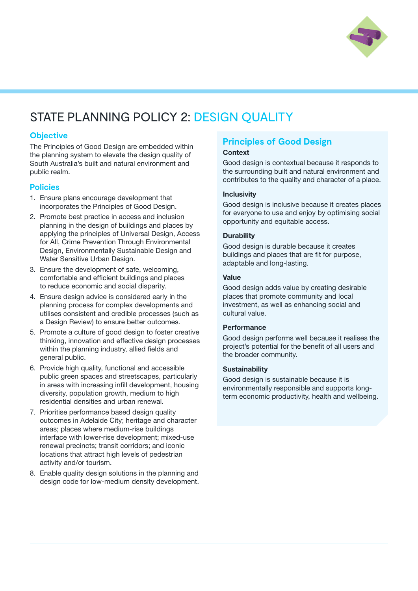

## STATE PLANNING POLICY 2: DESIGN QUALITY

### **Objective**

The Principles of Good Design are embedded within the planning system to elevate the design quality of South Australia's built and natural environment and public realm.

### **Policies**

- 1. Ensure plans encourage development that incorporates the Principles of Good Design.
- 2. Promote best practice in access and inclusion planning in the design of buildings and places by applying the principles of Universal Design, Access for All, Crime Prevention Through Environmental Design, Environmentally Sustainable Design and Water Sensitive Urban Design.
- 3. Ensure the development of safe, welcoming, comfortable and efficient buildings and places to reduce economic and social disparity.
- 4. Ensure design advice is considered early in the planning process for complex developments and utilises consistent and credible processes (such as a Design Review) to ensure better outcomes.
- 5. Promote a culture of good design to foster creative thinking, innovation and effective design processes within the planning industry, allied fields and general public.
- 6. Provide high quality, functional and accessible public green spaces and streetscapes, particularly in areas with increasing infill development, housing diversity, population growth, medium to high residential densities and urban renewal.
- 7. Prioritise performance based design quality outcomes in Adelaide City; heritage and character areas; places where medium-rise buildings interface with lower-rise development; mixed-use renewal precincts; transit corridors; and iconic locations that attract high levels of pedestrian activity and/or tourism.
- 8. Enable quality design solutions in the planning and design code for low-medium density development.

## **Principles of Good Design**

#### **Context**

Good design is contextual because it responds to the surrounding built and natural environment and contributes to the quality and character of a place.

#### **Inclusivity**

Good design is inclusive because it creates places for everyone to use and enjoy by optimising social opportunity and equitable access.

#### **Durability**

Good design is durable because it creates buildings and places that are fit for purpose, adaptable and long-lasting.

#### Value

Good design adds value by creating desirable places that promote community and local investment, as well as enhancing social and cultural value.

#### **Performance**

Good design performs well because it realises the project's potential for the benefit of all users and the broader community.

#### **Sustainability**

Good design is sustainable because it is environmentally responsible and supports longterm economic productivity, health and wellbeing.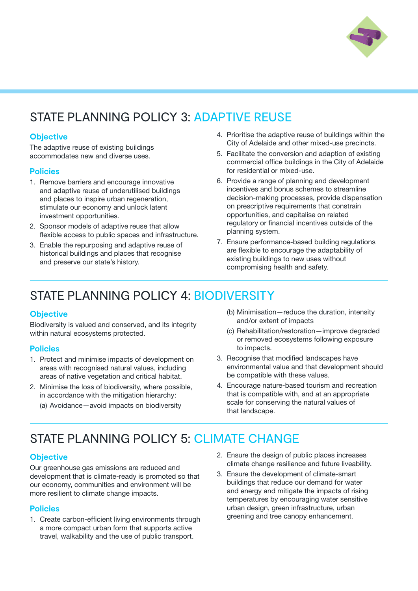

## STATE PLANNING POLICY 3: ADAPTIVE REUSE

### **Objective**

The adaptive reuse of existing buildings accommodates new and diverse uses.

### **Policies**

- 1. Remove barriers and encourage innovative and adaptive reuse of underutilised buildings and places to inspire urban regeneration, stimulate our economy and unlock latent investment opportunities.
- 2. Sponsor models of adaptive reuse that allow flexible access to public spaces and infrastructure.
- 3. Enable the repurposing and adaptive reuse of historical buildings and places that recognise and preserve our state's history.
- 4. Prioritise the adaptive reuse of buildings within the City of Adelaide and other mixed-use precincts.
- 5. Facilitate the conversion and adaption of existing commercial office buildings in the City of Adelaide for residential or mixed-use.
- 6. Provide a range of planning and development incentives and bonus schemes to streamline decision-making processes, provide dispensation on prescriptive requirements that constrain opportunities, and capitalise on related regulatory or financial incentives outside of the planning system.
- 7. Ensure performance-based building regulations are flexible to encourage the adaptability of existing buildings to new uses without compromising health and safety.

## STATE PLANNING POLICY 4: BIODIVERSITY

### **Objective**

Biodiversity is valued and conserved, and its integrity within natural ecosystems protected.

### **Policies**

- 1. Protect and minimise impacts of development on areas with recognised natural values, including areas of native vegetation and critical habitat.
- 2. Minimise the loss of biodiversity, where possible, in accordance with the mitigation hierarchy:
	- (a) Avoidance—avoid impacts on biodiversity
- (b) Minimisation—reduce the duration, intensity and/or extent of impacts
- (c) Rehabilitation/restoration—improve degraded or removed ecosystems following exposure to impacts.
- 3. Recognise that modified landscapes have environmental value and that development should be compatible with these values.
- 4. Encourage nature-based tourism and recreation that is compatible with, and at an appropriate scale for conserving the natural values of that landscape.

## STATE PLANNING POLICY 5: CLIMATE CHANGE

### **Objective**

Our greenhouse gas emissions are reduced and development that is climate-ready is promoted so that our economy, communities and environment will be more resilient to climate change impacts.

- 1. Create carbon-efficient living environments through a more compact urban form that supports active travel, walkability and the use of public transport.
- 2. Ensure the design of public places increases climate change resilience and future liveability.
- 3. Ensure the development of climate-smart buildings that reduce our demand for water and energy and mitigate the impacts of rising temperatures by encouraging water sensitive urban design, green infrastructure, urban greening and tree canopy enhancement.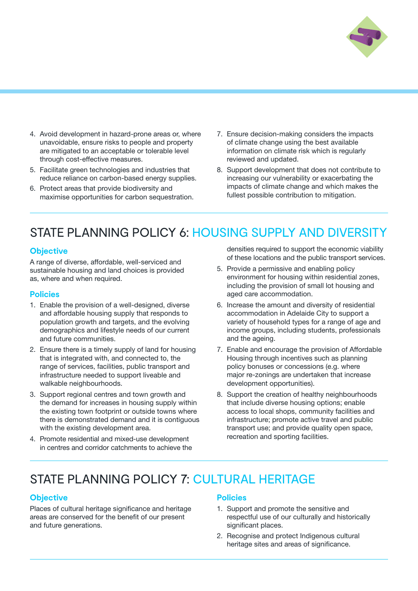

- 4. Avoid development in hazard-prone areas or, where unavoidable, ensure risks to people and property are mitigated to an acceptable or tolerable level through cost-effective measures.
- 5. Facilitate green technologies and industries that reduce reliance on carbon-based energy supplies.
- 6. Protect areas that provide biodiversity and maximise opportunities for carbon sequestration.
- 7. Ensure decision-making considers the impacts of climate change using the best available information on climate risk which is regularly reviewed and updated.
- 8. Support development that does not contribute to increasing our vulnerability or exacerbating the impacts of climate change and which makes the fullest possible contribution to mitigation.

## STATE PLANNING POLICY 6: HOUSING SUPPLY AND DIVERSITY

#### **Objective**

A range of diverse, affordable, well-serviced and sustainable housing and land choices is provided as, where and when required.

#### **Policies**

- 1. Enable the provision of a well-designed, diverse and affordable housing supply that responds to population growth and targets, and the evolving demographics and lifestyle needs of our current and future communities.
- 2. Ensure there is a timely supply of land for housing that is integrated with, and connected to, the range of services, facilities, public transport and infrastructure needed to support liveable and walkable neighbourhoods.
- 3. Support regional centres and town growth and the demand for increases in housing supply within the existing town footprint or outside towns where there is demonstrated demand and it is contiguous with the existing development area.
- 4. Promote residential and mixed-use development in centres and corridor catchments to achieve the

densities required to support the economic viability of these locations and the public transport services.

- 5. Provide a permissive and enabling policy environment for housing within residential zones, including the provision of small lot housing and aged care accommodation.
- 6. Increase the amount and diversity of residential accommodation in Adelaide City to support a variety of household types for a range of age and income groups, including students, professionals and the ageing.
- 7. Enable and encourage the provision of Affordable Housing through incentives such as planning policy bonuses or concessions (e.g. where major re-zonings are undertaken that increase development opportunities).
- 8. Support the creation of healthy neighbourhoods that include diverse housing options; enable access to local shops, community facilities and infrastructure; promote active travel and public transport use; and provide quality open space, recreation and sporting facilities.

## STATE PLANNING POLICY 7: CULTURAL HERITAGE

#### **Objective**

Places of cultural heritage significance and heritage areas are conserved for the benefit of our present and future generations.

- 1. Support and promote the sensitive and respectful use of our culturally and historically significant places.
- 2. Recognise and protect Indigenous cultural heritage sites and areas of significance.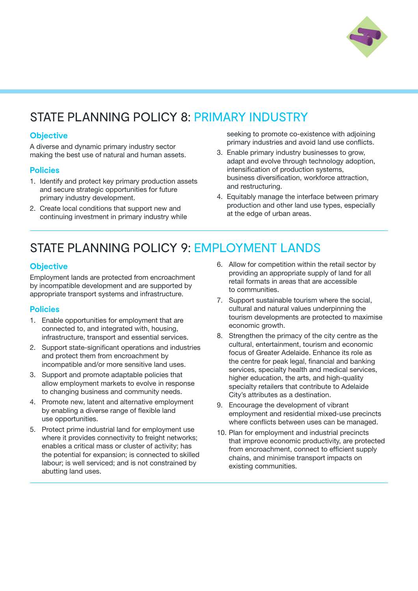

## STATE PLANNING POLICY 8: PRIMARY INDUSTRY

### **Objective**

A diverse and dynamic primary industry sector making the best use of natural and human assets.

#### **Policies**

- 1. Identify and protect key primary production assets and secure strategic opportunities for future primary industry development.
- 2. Create local conditions that support new and continuing investment in primary industry while

seeking to promote co-existence with adjoining primary industries and avoid land use conflicts.

- 3. Enable primary industry businesses to grow, adapt and evolve through technology adoption, intensification of production systems, business diversification, workforce attraction, and restructuring.
- 4. Equitably manage the interface between primary production and other land use types, especially at the edge of urban areas.

## STATE PLANNING POLICY 9: EMPLOYMENT LANDS

### **Objective**

Employment lands are protected from encroachment by incompatible development and are supported by appropriate transport systems and infrastructure.

- 1. Enable opportunities for employment that are connected to, and integrated with, housing, infrastructure, transport and essential services.
- 2. Support state-significant operations and industries and protect them from encroachment by incompatible and/or more sensitive land uses.
- 3. Support and promote adaptable policies that allow employment markets to evolve in response to changing business and community needs.
- 4. Promote new, latent and alternative employment by enabling a diverse range of flexible land use opportunities.
- 5. Protect prime industrial land for employment use where it provides connectivity to freight networks; enables a critical mass or cluster of activity; has the potential for expansion; is connected to skilled labour; is well serviced; and is not constrained by abutting land uses.
- 6. Allow for competition within the retail sector by providing an appropriate supply of land for all retail formats in areas that are accessible to communities.
- 7. Support sustainable tourism where the social, cultural and natural values underpinning the tourism developments are protected to maximise economic growth.
- 8. Strengthen the primacy of the city centre as the cultural, entertainment, tourism and economic focus of Greater Adelaide. Enhance its role as the centre for peak legal, financial and banking services, specialty health and medical services, higher education, the arts, and high-quality specialty retailers that contribute to Adelaide City's attributes as a destination.
- 9. Encourage the development of vibrant employment and residential mixed-use precincts where conflicts between uses can be managed.
- 10. Plan for employment and industrial precincts that improve economic productivity, are protected from encroachment, connect to efficient supply chains, and minimise transport impacts on existing communities.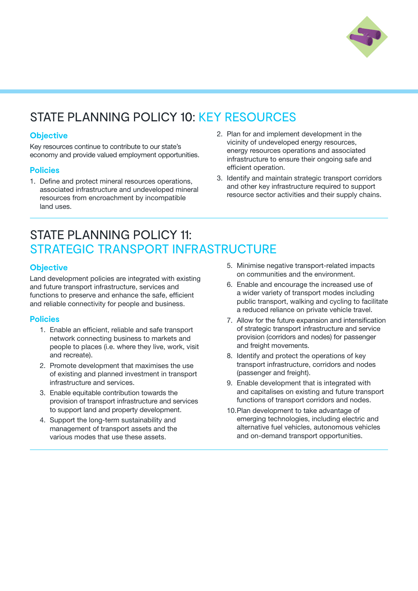

## STATE PLANNING POLICY 10: KEY RESOURCES

### **Objective**

Key resources continue to contribute to our state's economy and provide valued employment opportunities.

#### **Policies**

- 1. Define and protect mineral resources operations, associated infrastructure and undeveloped mineral resources from encroachment by incompatible land uses.
- 2. Plan for and implement development in the vicinity of undeveloped energy resources, energy resources operations and associated infrastructure to ensure their ongoing safe and efficient operation.
- 3. Identify and maintain strategic transport corridors and other key infrastructure required to support resource sector activities and their supply chains.

## STATE PLANNING POLICY 11: STRATEGIC TRANSPORT INFRASTRUCTURE

### **Objective**

Land development policies are integrated with existing and future transport infrastructure, services and functions to preserve and enhance the safe, efficient and reliable connectivity for people and business.

- 1. Enable an efficient, reliable and safe transport network connecting business to markets and people to places (i.e. where they live, work, visit and recreate).
- 2. Promote development that maximises the use of existing and planned investment in transport infrastructure and services.
- 3. Enable equitable contribution towards the provision of transport infrastructure and services to support land and property development.
- 4. Support the long-term sustainability and management of transport assets and the various modes that use these assets.
- 5. Minimise negative transport-related impacts on communities and the environment.
- 6. Enable and encourage the increased use of a wider variety of transport modes including public transport, walking and cycling to facilitate a reduced reliance on private vehicle travel.
- 7. Allow for the future expansion and intensification of strategic transport infrastructure and service provision (corridors and nodes) for passenger and freight movements.
- 8. Identify and protect the operations of key transport infrastructure, corridors and nodes (passenger and freight).
- 9. Enable development that is integrated with and capitalises on existing and future transport functions of transport corridors and nodes.
- 10.Plan development to take advantage of emerging technologies, including electric and alternative fuel vehicles, autonomous vehicles and on-demand transport opportunities.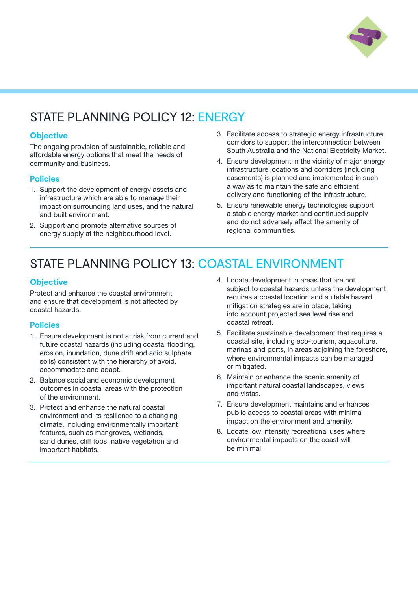

## STATE PLANNING POLICY 12: ENERGY

### **Objective**

The ongoing provision of sustainable, reliable and affordable energy options that meet the needs of community and business.

### **Policies**

- 1. Support the development of energy assets and infrastructure which are able to manage their impact on surrounding land uses, and the natural and built environment.
- 2. Support and promote alternative sources of energy supply at the neighbourhood level.
- 3. Facilitate access to strategic energy infrastructure corridors to support the interconnection between South Australia and the National Electricity Market.
- 4. Ensure development in the vicinity of major energy infrastructure locations and corridors (including easements) is planned and implemented in such a way as to maintain the safe and efficient delivery and functioning of the infrastructure.
- 5. Ensure renewable energy technologies support a stable energy market and continued supply and do not adversely affect the amenity of regional communities.

## STATE PLANNING POLICY 13: COASTAL ENVIRONMENT

### **Objective**

Protect and enhance the coastal environment and ensure that development is not affected by coastal hazards.

- 1. Ensure development is not at risk from current and future coastal hazards (including coastal flooding, erosion, inundation, dune drift and acid sulphate soils) consistent with the hierarchy of avoid, accommodate and adapt.
- 2. Balance social and economic development outcomes in coastal areas with the protection of the environment.
- 3. Protect and enhance the natural coastal environment and its resilience to a changing climate, including environmentally important features, such as mangroves, wetlands, sand dunes, cliff tops, native vegetation and important habitats.
- 4. Locate development in areas that are not subject to coastal hazards unless the development requires a coastal location and suitable hazard mitigation strategies are in place, taking into account projected sea level rise and coastal retreat.
- 5. Facilitate sustainable development that requires a coastal site, including eco-tourism, aquaculture, marinas and ports, in areas adjoining the foreshore, where environmental impacts can be managed or mitigated.
- 6. Maintain or enhance the scenic amenity of important natural coastal landscapes, views and vistas.
- 7. Ensure development maintains and enhances public access to coastal areas with minimal impact on the environment and amenity.
- 8. Locate low intensity recreational uses where environmental impacts on the coast will be minimal.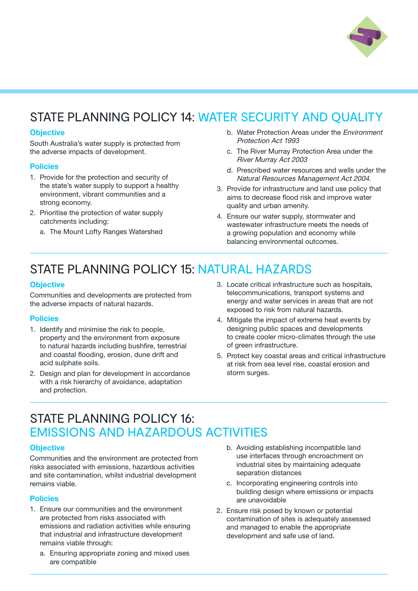

## STATE PLANNING POLICY 14: WATER SECURITY AND QUALITY

#### **Objective**

South Australia's water supply is protected from the adverse impacts of development.

#### Policies

- 1. Provide for the protection and security of the state's water supply to support a healthy environment, vibrant communities and a strong economy.
- 2. Prioritise the protection of water supply catchments including:
	- a. The Mount Lofty Ranges Watershed
- b. Water Protection Areas under the Environment Protection Act 1993
- c. The River Murray Protection Area under the River Murray Act 2003
- d. Prescribed water resources and wells under the Natural Resources Management Act 2004.
- 3. Provide for infrastructure and land use policy that aims to decrease flood risk and improve water quality and urban amenity.
- 4. Ensure our water supply, stormwater and wastewater infrastructure meets the needs of a growing population and economy while balancing environmental outcomes.

## STATE PLANNING POLICY 15: NATURAL HAZARDS

#### **Objective**

Communities and developments are protected from the adverse impacts of natural hazards.

#### **Policies**

- 1. Identify and minimise the risk to people, property and the environment from exposure to natural hazards including bushfire, terrestrial and coastal flooding, erosion, dune drift and acid sulphate soils.
- 2. Design and plan for development in accordance with a risk hierarchy of avoidance, adaptation and protection.
- 3. Locate critical infrastructure such as hospitals, telecommunications, transport systems and energy and water services in areas that are not exposed to risk from natural hazards.
- 4. Mitigate the impact of extreme heat events by designing public spaces and developments to create cooler micro-climates through the use of green infrastructure.
- 5. Protect key coastal areas and critical infrastructure at risk from sea level rise, coastal erosion and storm surges.

## STATE PLANNING POLICY 16: EMISSIONS AND HAZARDOUS ACTIVITIES

#### **Objective**

Communities and the environment are protected from risks associated with emissions, hazardous activities and site contamination, whilst industrial development remains viable.

- 1. Ensure our communities and the environment are protected from risks associated with emissions and radiation activities while ensuring that industrial and infrastructure development remains viable through:
	- a. Ensuring appropriate zoning and mixed uses are compatible
- b. Avoiding establishing incompatible land use interfaces through encroachment on industrial sites by maintaining adequate separation distances
- c. Incorporating engineering controls into building design where emissions or impacts are unavoidable
- 2. Ensure risk posed by known or potential contamination of sites is adequately assessed and managed to enable the appropriate development and safe use of land.